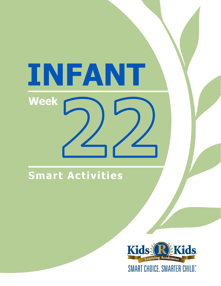# INFANT Week

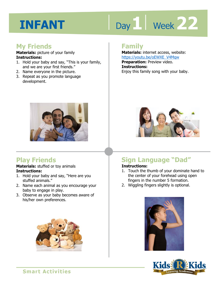# Day 1 | Week 22

#### **My Friends**

**Materials:** picture of your family **Instructions:** 

- 1. Hold your baby and say, "This is your family, and we are your first friends."
- 2. Name everyone in the picture.
- 3. Repeat as you promote language development.

#### **Family**

**Materials:** internet access, website: https://youtu.be/oEWXE\_V4Mqw **Preparation:** Preview video. **Instructions:**  Enjoy this family song with your baby.



#### **Play Friends**

**Materials:** stuffed or toy animals **Instructions:** 

- 1. Hold your baby and say, "Here are you stuffed animals."
- 2. Name each animal as you encourage your baby to engage in play.
- 3. Observe as your baby becomes aware of his/her own preferences.





### **Sign Language "Dad"**

#### **Instructions:**

- 1. Touch the thumb of your dominate hand to the center of your forehead using open fingers in the number 5 formation.
- 2. Wiggling fingers slightly is optional.



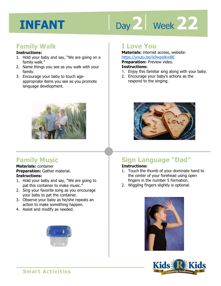# Day 2 | Week 22

#### **Family Walk**

#### **Instructions:**

- 1. Hold your baby and say, "We are going on a family walk."
- 2. Name things you see as you walk with your family.
- 3. Encourage your baby to touch ageappropriate items you see as you promote language development.



#### **Family Music**

#### **Materials:** container **Preparation:** Gather material. **Instructions:**

- 1. Hold your baby and say, "We are going to pat this container to make music."
- 2. Sing your favorite song as you encourage your baby to pat the container.
- 3. Observe your baby as he/she repeats an action to make something happen.
- 4. Assist and modify as needed.



#### **I Love You**

**Materials:** internet access, website: https://youtu.be/ix9wpslKwBE

**Preparation:** Preview video.

#### **Instructions:**

- **IRCDS.//YOULLI.DE/IX3WDSIRWDLE**<br>**Preparation:** Preview video.<br>1. Enjoy this familiar sing along with your baby.
- 2. Encourage your baby's actions as the respond to the singing.



### **Sign Language "Dad"**

#### **Instructions:**

- 1. Touch the thumb of your dominate hand to the center of your forehead using open fingers in the number 5 formation.
- 2. Wiggling fingers slightly is optional.



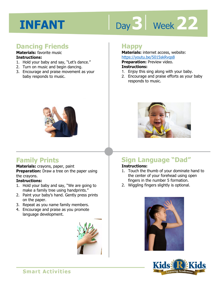# Day 3 | Week 22

#### **Dancing Friends**

#### **Materials:** favorite music **Instructions:**

- 1. Hold your baby and say, "Let's dance."
- 2. Turn on music and begin dancing.
- 3. Encourage and praise movement as your baby responds to music.

#### **Happy**

**Materials:** internet access, website: https://youtu.be/5015skRvqs8

**Preparation: Preview video.** 

#### **Instructions:**

- **1 4**  1. Enjoy this sing along with your baby.
- 2. Encourage and praise efforts as your baby responds to music.



#### **Family Prints**

#### **Materials:** crayons, paper, paint

**Preparation:** Draw a tree on the paper using the crayons.

#### **Instructions:**

- 1. Hold your baby and say, "We are going to make a family tree using handprints."
- 2. Paint your baby's hand. Gently press prints on the paper.
- 3. Repeat as you name family members.
- 4. Encourage and praise as you promote language development.





### **Sign Language "Dad"**

#### **Instructions:**

- 1. Touch the thumb of your dominate hand to the center of your forehead using open fingers in the number 5 formation.
- 2. Wiggling fingers slightly is optional.



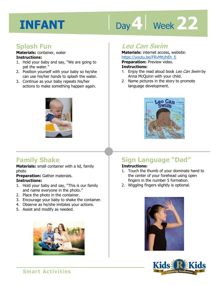# Day 4 Week 22

#### **Splash Fun**

**Materials:** container, water **Instructions:** 

- 1. Hold your baby and say, "We are going to pat the water."
- 2. Position yourself with your baby so he/she can use his/her hands to splash the water.
- 3. Continue as your baby repeats his/her actions to make something happen again.



#### **Family Shake**

**Materials:** small container with a lid, family photo

**Preparation:** Gather materials.

#### **Instructions:**

- 1. Hold your baby and say, "This is our family and name everyone in the photo."
- 2. Place the photo in the container.
- 3. Encourage your baby to shake the container.
- 4. Observe as he/she imitates your actions.
- 5. Assist and modify as needed.



#### **Leo Can Swim**

**Materials:** internet access, website: https://youtu.be/FRvMtUhEh\_E

**Preparation:** Preview video.

#### **Instructions:**

- **IRUPS.//YOULLILE/INVIRUMENTE**<br>**Preparation:** Preview video.<br>**Instructions:**<br>1. Enjoy the read aloud book *Leo Can Swim* by Anna McQuinn with your child.
- 2. Name pictures in the story to promote language development.



### **Sign Language "Dad"**

#### **Instructions:**

- 1. Touch the thumb of your dominate hand to the center of your forehead using open fingers in the number 5 formation.
- 2. Wiggling fingers slightly is optional.